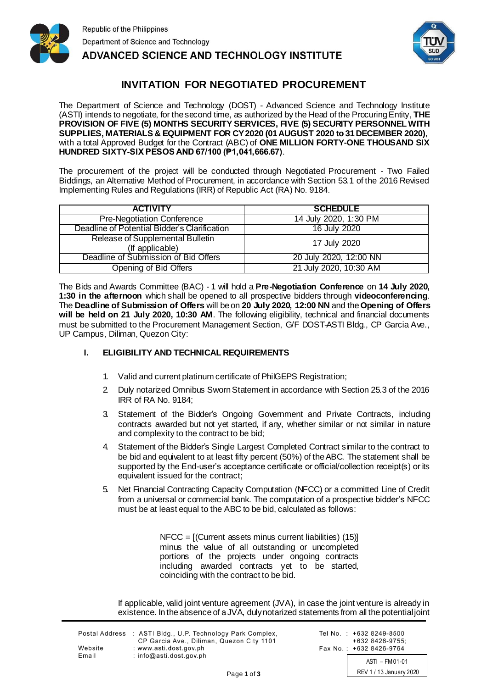



**ADVANCED SCIENCE AND TECHNOLOGY INSTITUTE** 

### **INVITATION FOR NEGOTIATED PROCUREMENT**

The Department of Science and Technology (DOST) - Advanced Science and Technology Institute (ASTI) intends to negotiate, for the second time, as authorized by the Head of the ProcuringEntity, **THE PROVISION OF FIVE (5) MONTHS SECURITY SERVICES, FIVE (5) SECURITY PERSONNEL WITH SUPPLIES, MATERIALS & EQUIPMENT FOR CY2020 (01AUGUST 2020 to 31DECEMBER 2020)**, with a total Approved Budget for the Contract (ABC) of ONE MILLION FORTY-ONE THOUSAND SIX **HUNDRED SIXTY-SIX PESOS AND 67/100 (₱1,041,666.67)**.

The procurement of the project will be conducted through Negotiated Procurement - Two Failed Biddings, an Alternative Method of Procurement, in accordance with Section 53.1 of the 2016 Revised Implementing Rules and Regulations (IRR) of Republic Act (RA) No. 9184.

| <b>ACTIVITY</b>                              | <b>SCHEDULE</b>        |
|----------------------------------------------|------------------------|
| <b>Pre-Negotiation Conference</b>            | 14 July 2020, 1:30 PM  |
| Deadline of Potential Bidder's Clarification | 16 July 2020           |
| Release of Supplemental Bulletin             | 17 July 2020           |
| (If applicable)                              |                        |
| Deadline of Submission of Bid Offers         | 20 July 2020, 12:00 NN |
| Opening of Bid Offers                        | 21 July 2020, 10:30 AM |

The Bids and Awards Committee (BAC) - 1 will hold a **Pre-Negotiation Conference** on **14 July 2020, 1:30 in the afternoon** which shall be opened to all prospective bidders through **videoconferencing**. The **Deadline of Submission of Offers** will be on **20 July 2020, 12:00 NN** and the**Opening of Offers will be held on 21 July 2020, 10:30 AM**. The following eligibility, technical and financial documents must be submitted to the Procurement Management Section, G/F DOST-ASTI Bldg., CP Garcia Ave., UP Campus, Diliman, Quezon City:

### **I. ELIGIBILITY AND TECHNICAL REQUIREMENTS**

- 1. Valid and current platinum certificate of PhilGEPS Registration;
- 2. Duly notarized Omnibus SwornStatement in accordance with Section 25.3 of the 2016 IRR of RA No. 9184;
- 3. Statement of the Bidder's Ongoing Government and Private Contracts, including contracts awarded but not yet started, if any, whether similar or not similar in nature and complexity to the contract to be bid;
- Statement of the Bidder's Single Largest Completed Contract similar to the contract to be bid and equivalent to at least fifty percent (50%) of the ABC. The statement shall be supported by the End-user's acceptance certificate or official/collection receipt(s) or its equivalent issued for the contract;
- 5. Net Financial Contracting Capacity Computation (NFCC) or a committed Line of Credit from a universal or commercial bank. The computation of a prospective bidder's NFCC must be at least equal to the ABC to be bid, calculated as follows:

NFCC = [(Current assets minus current liabilities) (15)] minus the value of all outstanding or uncompleted portions of the projects under ongoing contracts including awarded contracts yet to be started, coinciding with the contract to be bid.

If applicable, valid joint venture agreement (JVA), in case the joint venture is already in existence. In the absence of a JVA, dulynotarized statements from all the potentialjoint

|         | Postal Address : ASTI Bldg., U.P. Technology Park Complex, |
|---------|------------------------------------------------------------|
|         | CP Garcia Ave., Diliman, Quezon City 1101                  |
| Website | : www.asti.dost.gov.ph                                     |
| Email   | : $info@asti.dost.gov.ph$                                  |
|         |                                                            |

Tel No. : +632 8249-8500 +632 8426-9755: Fax No.: +632 8426-9764 ASTI – FM 01-01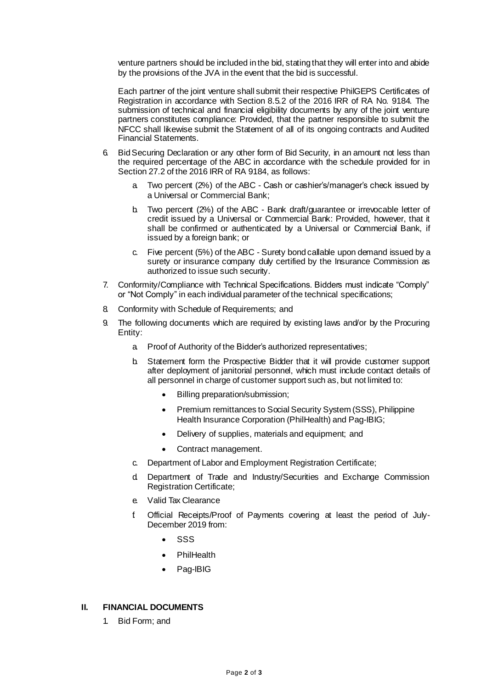venture partners should be included in the bid, stating that they will enter into and abide by the provisions of the JVA in the event that the bid is successful.

Each partner of the joint venture shall submit their respective PhilGEPS Certificates of Registration in accordance with Section 8.5.2 of the 2016 IRR of RA No. 9184. The submission of technical and financial eligibility documents by any of the joint venture partners constitutes compliance: Provided, that the partner responsible to submit the NFCC shall likewise submit the Statement of all of its ongoing contracts and Audited Financial Statements.

- 6. Bid Securing Declaration or any other form of Bid Security, in an amount not less than the required percentage of the ABC in accordance with the schedule provided for in Section 27.2 of the 2016 IRR of RA 9184, as follows:
	- a. Two percent (2%) of the ABC Cash or cashier's/manager's check issued by a Universal or Commercial Bank;
	- b. Two percent (2%) of the ABC Bank draft/guarantee or irrevocable letter of credit issued by a Universal or Commercial Bank: Provided, however, that it shall be confirmed or authenticated by a Universal or Commercial Bank, if issued by a foreign bank; or
	- c. Five percent (5%) of the ABC Surety bond callable upon demand issued by a surety or insurance company duly certified by the Insurance Commission as authorized to issue such security.
- 7. Conformity/Compliance with Technical Specifications. Bidders must indicate "Comply" or "Not Comply" in each individual parameter of the technical specifications;
- 8. Conformity with Schedule of Requirements; and
- 9. The following documents which are required by existing laws and/or by the Procuring Entity:
	- a. Proof of Authority of the Bidder's authorized representatives;
	- b. Statement form the Prospective Bidder that it will provide customer support after deployment of janitorial personnel, which must include contact details of all personnel in charge of customer support such as, but not limited to:
		- Billing preparation/submission;
		- Premium remittances to Social Security System (SSS), Philippine Health Insurance Corporation (PhilHealth) and Pag-IBIG;
		- Delivery of supplies, materials and equipment; and
		- Contract management.
	- c. Department of Labor and Employment Registration Certificate;
	- d. Department of Trade and Industry/Securities and Exchange Commission Registration Certificate;
	- e. Valid Tax Clearance
	- f. Official Receipts/Proof of Payments covering at least the period of July-December 2019 from:
		- SSS
		- **PhilHealth**
		- Pag-IBIG

### **II. FINANCIAL DOCUMENTS**

1. Bid Form; and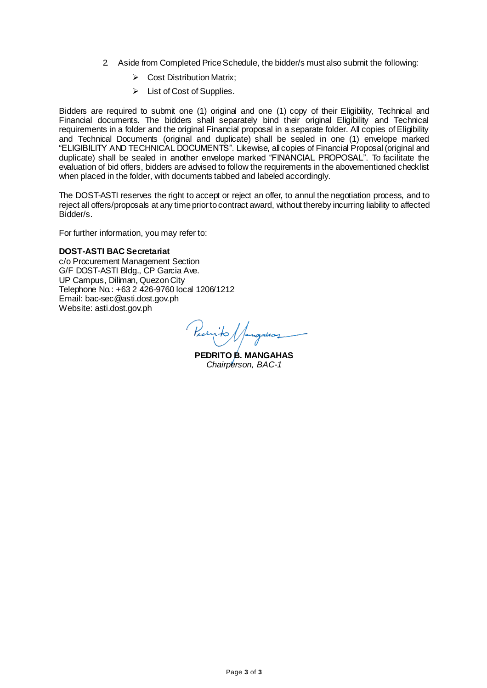- 2. Aside from Completed Price Schedule, the bidder/s must also submit the following:
	- $\triangleright$  Cost Distribution Matrix:
	- $\triangleright$  List of Cost of Supplies.

Bidders are required to submit one (1) original and one (1) copy of their Eligibility, Technical and Financial documents. The bidders shall separately bind their original Eligibility and Technical requirements in a folder and the original Financial proposal in a separate folder. All copies of Eligibility and Technical Documents (original and duplicate) shall be sealed in one (1) envelope marked "ELIGIBILITY AND TECHNICAL DOCUMENTS". Likewise, all copies of Financial Proposal (original and duplicate) shall be sealed in another envelope marked "FINANCIAL PROPOSAL". To facilitate the evaluation of bid offers, bidders are advised to follow the requirements in the abovementioned checklist when placed in the folder, with documents tabbed and labeled accordingly.

The DOST-ASTI reserves the right to accept or reject an offer, to annul the negotiation process, and to reject all offers/proposals at any time priortocontract award, without thereby incurring liability to affected Bidder/s.

For further information, you may refer to:

#### **DOST-ASTI BAC Secretariat**

c/o Procurement Management Section G/F DOST-ASTI Bldg., CP Garcia Ave. UP Campus, Diliman, Quezon City Telephone No.: +63 2 426-9760 local 1206/1212 Email[: bac-sec@asti.dost.gov.ph](mailto:bac-sec@asti.dost.gov.ph) Website: asti.dost.gov.ph

Pecrito /

**PEDRITO B. MANGAHAS** *Chairperson, BAC-1*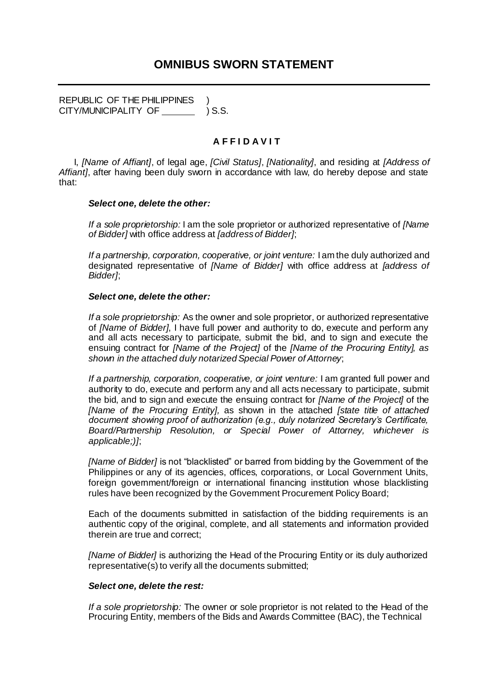REPUBLIC OF THE PHILIPPINES CITY/MUNICIPALITY OF ) S.S.

### **A F F I D A V I T**

I, *[Name of Affiant]*, of legal age, *[Civil Status]*, *[Nationality]*, and residing at *[Address of Affiant]*, after having been duly sworn in accordance with law, do hereby depose and state that:

### *Select one, delete the other:*

*If a sole proprietorship:* I am the sole proprietor or authorized representative of *[Name of Bidder]* with office address at *[address of Bidder]*;

*If a partnership, corporation, cooperative, or joint venture:* I am the duly authorized and designated representative of *[Name of Bidder]* with office address at *[address of Bidder]*;

### *Select one, delete the other:*

*If a sole proprietorship:* As the owner and sole proprietor, or authorized representative of *[Name of Bidder]*, I have full power and authority to do, execute and perform any and all acts necessary to participate, submit the bid, and to sign and execute the ensuing contract for *[Name of the Project]* of the *[Name of the Procuring Entity], as shown in the attached duly notarized Special Power of Attorney*;

*If a partnership, corporation, cooperative, or joint venture:* I am granted full power and authority to do, execute and perform any and all acts necessary to participate, submit the bid, and to sign and execute the ensuing contract for *[Name of the Project]* of the *[Name of the Procuring Entity],* as shown in the attached *[state title of attached document showing proof of authorization (e.g., duly notarized Secretary's Certificate, Board/Partnership Resolution, or Special Power of Attorney, whichever is applicable;)]*;

*[Name of Bidder]* is not "blacklisted" or barred from bidding by the Government of the Philippines or any of its agencies, offices, corporations, or Local Government Units, foreign government/foreign or international financing institution whose blacklisting rules have been recognized by the Government Procurement Policy Board;

Each of the documents submitted in satisfaction of the bidding requirements is an authentic copy of the original, complete, and all statements and information provided therein are true and correct;

*[Name of Bidder]* is authorizing the Head of the Procuring Entity or its duly authorized representative(s) to verify all the documents submitted;

### *Select one, delete the rest:*

*If a sole proprietorship:* The owner or sole proprietor is not related to the Head of the Procuring Entity, members of the Bids and Awards Committee (BAC), the Technical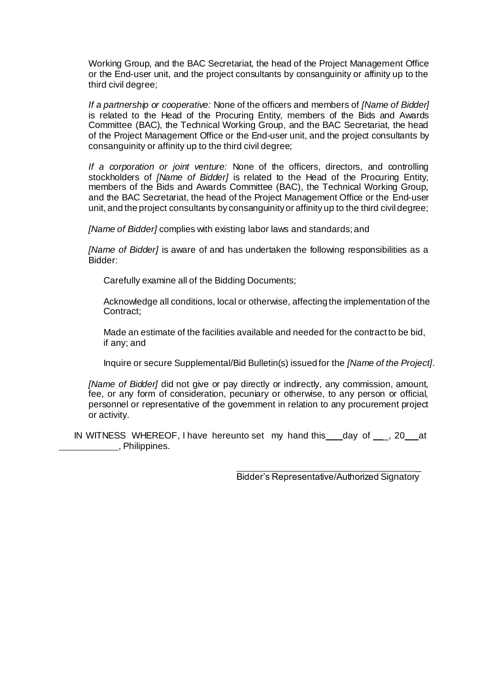Working Group, and the BAC Secretariat, the head of the Project Management Office or the End-user unit, and the project consultants by consanguinity or affinity up to the third civil degree;

*If a partnership or cooperative:* None of the officers and members of *[Name of Bidder]*  is related to the Head of the Procuring Entity, members of the Bids and Awards Committee (BAC), the Technical Working Group, and the BAC Secretariat, the head of the Project Management Office or the End-user unit, and the project consultants by consanguinity or affinity up to the third civil degree;

*If a corporation or joint venture:* None of the officers, directors, and controlling stockholders of *[Name of Bidder]* is related to the Head of the Procuring Entity, members of the Bids and Awards Committee (BAC), the Technical Working Group, and the BAC Secretariat, the head of the Project Management Office or the End-user unit, and the project consultants by consanguinity or affinity up to the third civildegree;

*[Name of Bidder]* complies with existing labor laws and standards; and

*[Name of Bidder]* is aware of and has undertaken the following responsibilities as a Bidder:

Carefully examine all of the Bidding Documents;

Acknowledge all conditions, local or otherwise, affecting the implementation of the Contract;

Made an estimate of the facilities available and needed for the contract to be bid, if any; and

Inquire or secure Supplemental/Bid Bulletin(s) issued for the *[Name of the Project]*.

*[Name of Bidder]* did not give or pay directly or indirectly, any commission, amount, fee, or any form of consideration, pecuniary or otherwise, to any person or official, personnel or representative of the government in relation to any procurement project or activity.

IN WITNESS WHEREOF, I have hereunto set my hand this \_\_\_ day of \_\_\_, 20 at **EXECUTE:** Philippines.

> $\overline{\phantom{a}}$ Bidder's Representative/Authorized Signatory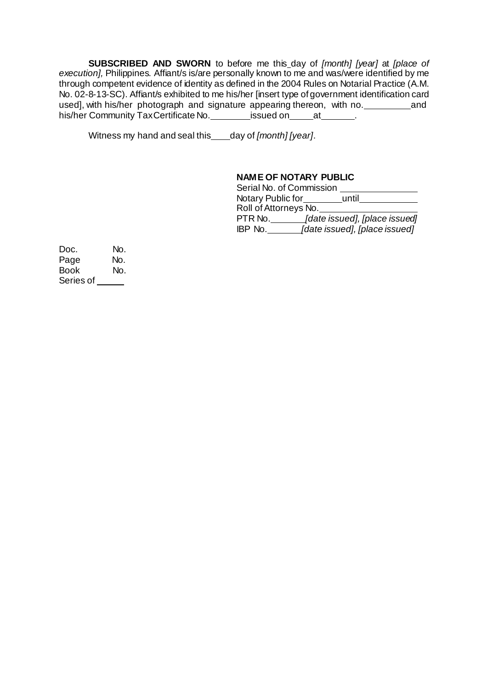**SUBSCRIBED AND SWORN** to before me this day of *[month] [year]* at *[place of execution],* Philippines. Affiant/s is/are personally known to me and was/were identified by me through competent evidence of identity as defined in the 2004 Rules on Notarial Practice (A.M. No. 02-8-13-SC). Affiant/s exhibited to me his/her [insert type of government identification card used], with his/her photograph and signature appearing thereon, with no. and his/her Community TaxCertificate No. issued on at .........

Witness my hand and seal this day of *[month] [year]*.

### **NAME OF NOTARY PUBLIC**

| Serial No. of Commission |                               |
|--------------------------|-------------------------------|
| Notary Public for        | until                         |
| Roll of Attorneys No.    |                               |
| PTR No.                  | [date issued], [place issued] |
| IBP No.                  | [date issued], [place issued] |

Doc. No. Page No. Book No. Series of \_\_\_\_\_\_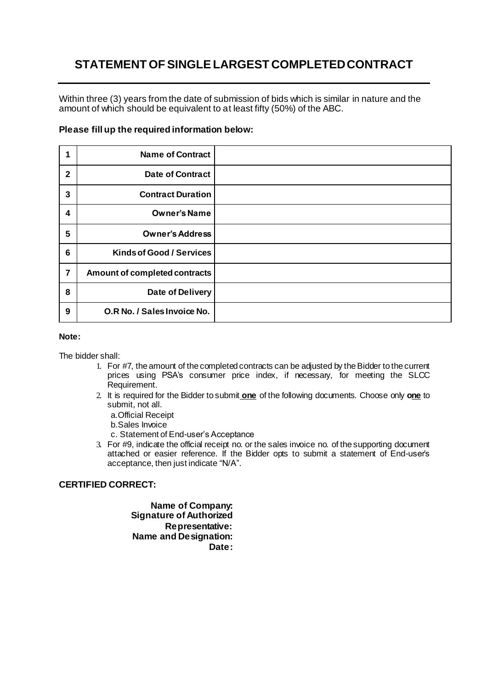# **STATEMENT OF SINGLE LARGEST COMPLETED CONTRACT**

Within three (3) years from the date of submission of bids which is similar in nature and the amount of which should be equivalent to at least fifty (50%) of the ABC.

### **Please fill up the required information below:**

| 1                       | <b>Name of Contract</b>         |  |
|-------------------------|---------------------------------|--|
| $\mathbf{2}$            | <b>Date of Contract</b>         |  |
| 3                       | <b>Contract Duration</b>        |  |
| 4                       | <b>Owner's Name</b>             |  |
| 5                       | <b>Owner's Address</b>          |  |
| $6\phantom{1}6$         | <b>Kinds of Good / Services</b> |  |
| $\overline{\mathbf{7}}$ | Amount of completed contracts   |  |
| 8                       | Date of Delivery                |  |
| 9                       | O.R No. / Sales Invoice No.     |  |

#### **Note:**

The bidder shall:

- 1. For #7, the amount of the completed contracts can be adjusted by the Bidder to the current prices using PSA's consumer price index, if necessary, for meeting the SLCC Requirement.
- 2. It is required for the Bidder to submit **one** of the following documents. Choose only **one** to submit, not all.

a.Official Receipt

b.Sales Invoice

c. Statement of End-user's Acceptance

3. For #9, indicate the official receipt no. or the sales invoice no. of the supporting document attached or easier reference. If the Bidder opts to submit a statement of End-user's acceptance, then just indicate "N/A".

### **CERTIFIED CORRECT:**

**Name of Company: Signature of Authorized Representative: Name and Designation: Date:**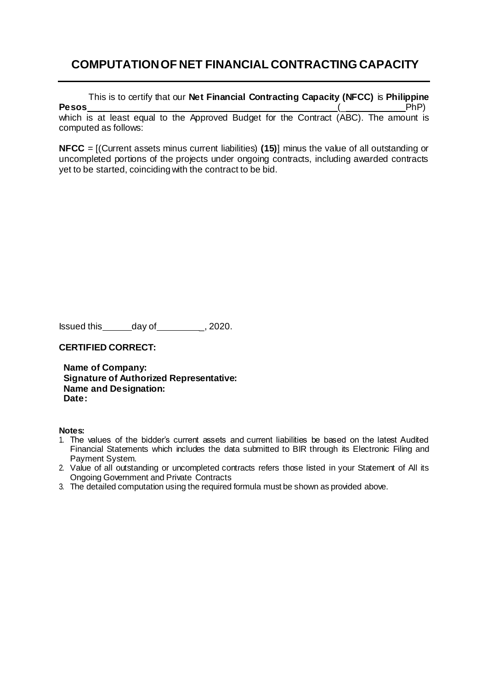# **COMPUTATION OF NET FINANCIAL CONTRACTING CAPACITY**

This is to certify that our **Net Financial Contracting Capacity (NFCC)** is **Philippine Pesos** (\_ PhP) which is at least equal to the Approved Budget for the Contract (ABC). The amount is computed as follows:

**NFCC** = [(Current assets minus current liabilities) **(15)**] minus the value of all outstanding or uncompleted portions of the projects under ongoing contracts, including awarded contracts yet to be started, coinciding with the contract to be bid.

Issued this day of 1.1, 2020.

**CERTIFIED CORRECT:**

**Name of Company: Signature of Authorized Representative: Name and Designation: Date:**

### **Notes:**

- 1. The values of the bidder's current assets and current liabilities be based on the latest Audited Financial Statements which includes the data submitted to BIR through its Electronic Filing and Payment System.
- 2. Value of all outstanding or uncompleted contracts refers those listed in your Statement of All its Ongoing Government and Private Contracts
- 3. The detailed computation using the required formula must be shown as provided above.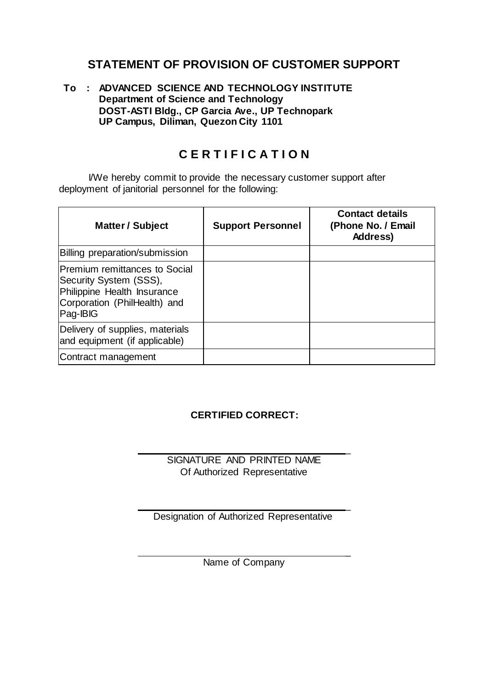# **STATEMENT OF PROVISION OF CUSTOMER SUPPORT**

### **To : ADVANCED SCIENCE AND TECHNOLOGY INSTITUTE Department of Science and Technology DOST-ASTI Bldg., CP Garcia Ave., UP Technopark UP Campus, Diliman, Quezon City 1101**

# **C E R T I F I C A T I O N**

I/We hereby commit to provide the necessary customer support after deployment of janitorial personnel for the following:

| Matter / Subject                                                                                                                          | <b>Support Personnel</b> | <b>Contact details</b><br>(Phone No. / Email<br>Address) |
|-------------------------------------------------------------------------------------------------------------------------------------------|--------------------------|----------------------------------------------------------|
| <b>Billing preparation/submission</b>                                                                                                     |                          |                                                          |
| <b>Premium remittances to Social</b><br>Security System (SSS),<br>Philippine Health Insurance<br>Corporation (PhilHealth) and<br>Pag-IBIG |                          |                                                          |
| Delivery of supplies, materials<br>and equipment (if applicable)                                                                          |                          |                                                          |
| Contract management                                                                                                                       |                          |                                                          |

### **CERTIFIED CORRECT:**

SIGNATURE AND PRINTED NAME Of Authorized Representative

 $\overline{a}$ 

 $\overline{a}$ 

 $\overline{a}$ 

Designation of Authorized Representative

Name of Company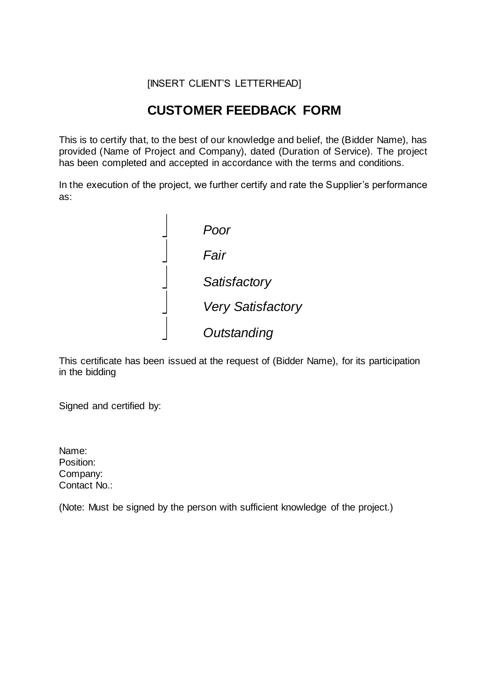### [INSERT CLIENT'S LETTERHEAD]

# **CUSTOMER FEEDBACK FORM**

This is to certify that, to the best of our knowledge and belief, the (Bidder Name), has provided (Name of Project and Company), dated (Duration of Service). The project has been completed and accepted in accordance with the terms and conditions.

In the execution of the project, we further certify and rate the Supplier's performance as:



This certificate has been issued at the request of (Bidder Name), for its participation in the bidding

Signed and certified by:

Name: Position: Company: Contact No.:

(Note: Must be signed by the person with sufficient knowledge of the project.)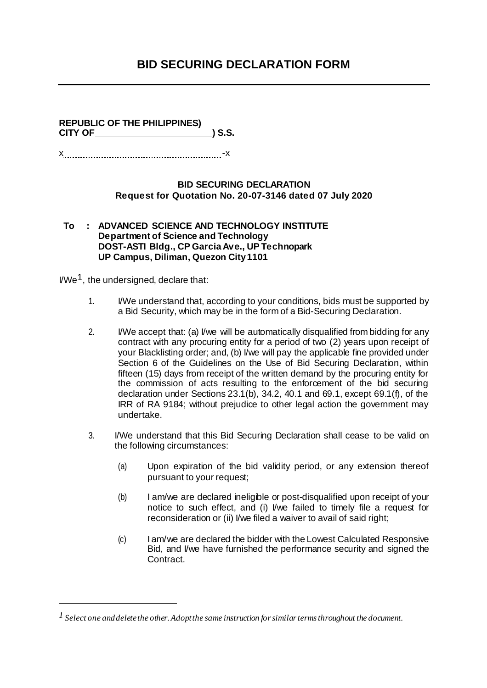# **BID SECURING DECLARATION FORM**

### **REPUBLIC OF THE PHILIPPINES) CITY OF ) S.S.**

x -x

### **BID SECURING DECLARATION Request for Quotation No. 20-07-3146 dated 07 July 2020**

**To : ADVANCED SCIENCE AND TECHNOLOGY INSTITUTE Department of Science and Technology DOST-ASTI Bldg., CP Garcia Ave., UP Technopark UP Campus, Diliman, Quezon City1101**

I/We1, the undersigned, declare that:

- 1. I/We understand that, according to your conditions, bids must be supported by a Bid Security, which may be in the form of a Bid-Securing Declaration.
- 2. I/We accept that: (a) I/we will be automatically disqualified from bidding for any contract with any procuring entity for a period of two (2) years upon receipt of your Blacklisting order; and, (b) I/we will pay the applicable fine provided under Section 6 of the Guidelines on the Use of Bid Securing Declaration, within fifteen (15) days from receipt of the written demand by the procuring entity for the commission of acts resulting to the enforcement of the bid securing declaration under Sections 23.1(b), 34.2, 40.1 and 69.1, except 69.1(f), of the IRR of RA 9184; without prejudice to other legal action the government may undertake.
- 3. I/We understand that this Bid Securing Declaration shall cease to be valid on the following circumstances:
	- (a) Upon expiration of the bid validity period, or any extension thereof pursuant to your request;
	- (b) I am/we are declared ineligible or post-disqualified upon receipt of your notice to such effect, and (i) I/we failed to timely file a request for reconsideration or (ii) I/we filed a waiver to avail of said right;
	- (c) I am/we are declared the bidder with the Lowest Calculated Responsive Bid, and I/we have furnished the performance security and signed the Contract.

*<sup>1</sup> Select one and delete the other. Adopt the same instruction for similar terms throughout the document.*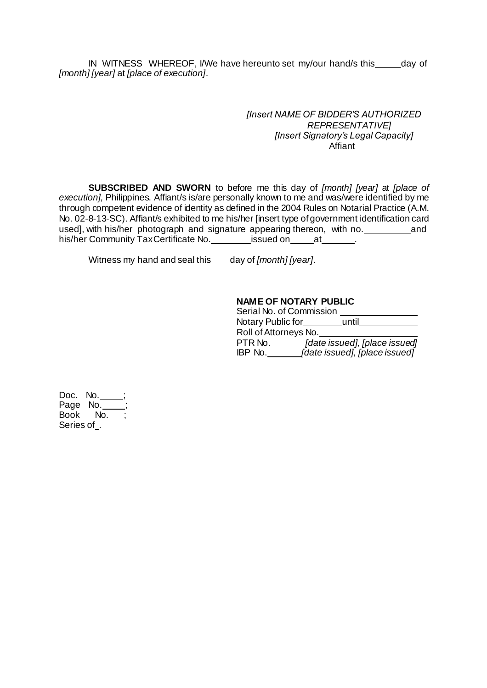IN WITNESS WHEREOF, I/We have hereunto set my/our hand/s this \_\_\_\_\_ day of *[month] [year]* at *[place of execution]*.

> *[Insert NAME OF BIDDER'S AUTHORIZED REPRESENTATIVE] [Insert Signatory's Legal Capacity]* Affiant

**SUBSCRIBED AND SWORN** to before me this day of *[month] [year]* at *[place of*  execution], Philippines. Affiant/s is/are personally known to me and was/were identified by me through competent evidence of identity as defined in the 2004 Rules on Notarial Practice (A.M. No. 02-8-13-SC). Affiant/s exhibited to me his/her [insert type of government identification card used], with his/her photograph and signature appearing thereon, with no. and his/her Community TaxCertificate No. \_\_\_\_\_\_\_\_\_ issued on \_\_\_\_\_\_\_\_\_\_\_\_.

Witness my hand and seal this\_\_\_\_day of *[month]* [year].

### **NAME OF NOTARY PUBLIC**

| Serial No. of Commission |                               |
|--------------------------|-------------------------------|
| Notary Public for        | until                         |
| Roll of Attorneys No.    |                               |
| PTR No.                  | [date issued], [place issued] |
| IBP No.                  | [date issued], [place issued] |

Doc. No. Page No. Book No. Series of .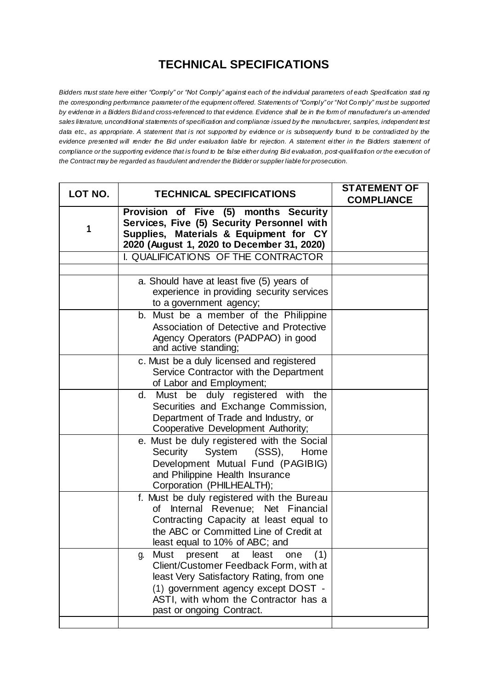# **TECHNICAL SPECIFICATIONS**

Bidders must state here either "Comply" or "Not Comply" against each of the individual parameters of each Specification stating the corresponding performance parameter of the equipment offered. Statements of "Comply" or "Not Comply" must be supported by evidence in a Bidders Bidand cross-referenced to that evidence. Evidence shall be in the form of manufadurer's un-amended sales literature, unconditional statements of specification and compliance issued by the manufacturer, samples, independent test data etc., as appropriate. A statement that is not supported by evidence or is subsequently found to be contradicted by the *evidence presented will render the Bid under evaluation liable for rejection. A statement either in the Bidders statement of*  compliance or the supporting evidence that is found to be false either during Bid evaluation, post-qualification or the execution of *the Contract may be regarded as fraudulent and render the Bidder or supplier liable for prosecution.*

| LOT NO. | <b>TECHNICAL SPECIFICATIONS</b>                                                                                                                                                                                                                      | <b>STATEMENT OF</b><br><b>COMPLIANCE</b> |
|---------|------------------------------------------------------------------------------------------------------------------------------------------------------------------------------------------------------------------------------------------------------|------------------------------------------|
| 1       | Provision of Five (5) months Security<br>Services, Five (5) Security Personnel with<br>Supplies, Materials & Equipment for CY<br>2020 (August 1, 2020 to December 31, 2020)                                                                          |                                          |
|         | I. QUALIFICATIONS OF THE CONTRACTOR                                                                                                                                                                                                                  |                                          |
|         | a. Should have at least five (5) years of<br>experience in providing security services<br>to a government agency;                                                                                                                                    |                                          |
|         | b. Must be a member of the Philippine<br>Association of Detective and Protective<br>Agency Operators (PADPAO) in good<br>and active standing;                                                                                                        |                                          |
|         | c. Must be a duly licensed and registered<br>Service Contractor with the Department<br>of Labor and Employment;                                                                                                                                      |                                          |
|         | d. Must be duly registered with the<br>Securities and Exchange Commission,<br>Department of Trade and Industry, or<br>Cooperative Development Authority;                                                                                             |                                          |
|         | e. Must be duly registered with the Social<br>Security<br>System<br>(SSS),<br>Home<br>Development Mutual Fund (PAGIBIG)<br>and Philippine Health Insurance<br>Corporation (PHILHEALTH);                                                              |                                          |
|         | f. Must be duly registered with the Bureau<br>of Internal Revenue; Net Financial<br>Contracting Capacity at least equal to<br>the ABC or Committed Line of Credit at<br>least equal to 10% of ABC; and                                               |                                          |
|         | Must<br>present<br>least<br>at<br>(1)<br>one<br>g.<br>Client/Customer Feedback Form, with at<br>least Very Satisfactory Rating, from one<br>(1) government agency except DOST -<br>ASTI, with whom the Contractor has a<br>past or ongoing Contract. |                                          |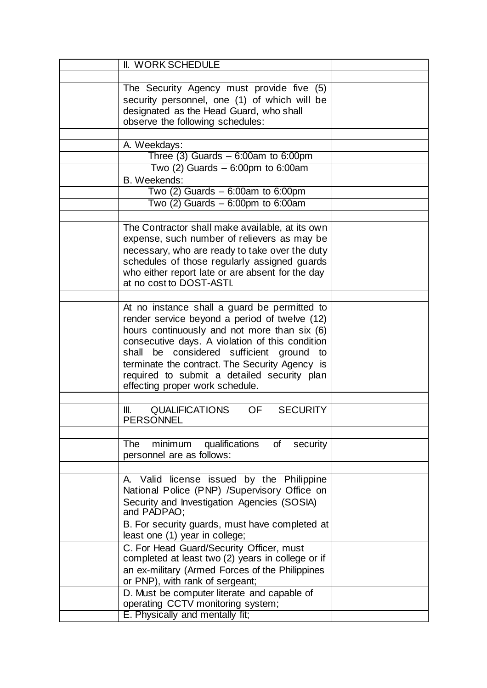| II. WORK SCHEDULE                                                                                                                                                                                                                                                                                                                                                                         |  |
|-------------------------------------------------------------------------------------------------------------------------------------------------------------------------------------------------------------------------------------------------------------------------------------------------------------------------------------------------------------------------------------------|--|
|                                                                                                                                                                                                                                                                                                                                                                                           |  |
| The Security Agency must provide five (5)<br>security personnel, one (1) of which will be<br>designated as the Head Guard, who shall<br>observe the following schedules:                                                                                                                                                                                                                  |  |
|                                                                                                                                                                                                                                                                                                                                                                                           |  |
| A. Weekdays:                                                                                                                                                                                                                                                                                                                                                                              |  |
| Three $(3)$ Guards $-6:00$ am to 6:00pm                                                                                                                                                                                                                                                                                                                                                   |  |
| Two $(2)$ Guards $-6:00$ pm to 6:00am                                                                                                                                                                                                                                                                                                                                                     |  |
| B. Weekends:                                                                                                                                                                                                                                                                                                                                                                              |  |
| Two $(2)$ Guards $-6:00$ am to 6:00pm                                                                                                                                                                                                                                                                                                                                                     |  |
| Two $(2)$ Guards $-6:00$ pm to 6:00am                                                                                                                                                                                                                                                                                                                                                     |  |
|                                                                                                                                                                                                                                                                                                                                                                                           |  |
| The Contractor shall make available, at its own<br>expense, such number of relievers as may be<br>necessary, who are ready to take over the duty<br>schedules of those regularly assigned guards<br>who either report late or are absent for the day<br>at no cost to DOST-ASTI.                                                                                                          |  |
|                                                                                                                                                                                                                                                                                                                                                                                           |  |
| At no instance shall a guard be permitted to<br>render service beyond a period of twelve (12)<br>hours continuously and not more than six (6)<br>consecutive days. A violation of this condition<br>be considered<br>sufficient ground<br>shall<br>to<br>terminate the contract. The Security Agency is<br>required to submit a detailed security plan<br>effecting proper work schedule. |  |
|                                                                                                                                                                                                                                                                                                                                                                                           |  |
| <b>QUALIFICATIONS</b><br>OF.<br><b>SECURITY</b><br>Ⅲ.<br><b>PERSONNEL</b>                                                                                                                                                                                                                                                                                                                 |  |
|                                                                                                                                                                                                                                                                                                                                                                                           |  |
| <b>The</b><br>minimum qualifications<br>of<br>security<br>personnel are as follows:                                                                                                                                                                                                                                                                                                       |  |
|                                                                                                                                                                                                                                                                                                                                                                                           |  |
| A. Valid license issued by the Philippine<br>National Police (PNP) /Supervisory Office on<br>Security and Investigation Agencies (SOSIA)<br>and PADPAO;                                                                                                                                                                                                                                   |  |
| B. For security guards, must have completed at<br>least one (1) year in college;                                                                                                                                                                                                                                                                                                          |  |
| C. For Head Guard/Security Officer, must<br>completed at least two (2) years in college or if<br>an ex-military (Armed Forces of the Philippines<br>or PNP), with rank of sergeant;                                                                                                                                                                                                       |  |
| D. Must be computer literate and capable of<br>operating CCTV monitoring system;<br>E. Physically and mentally fit;                                                                                                                                                                                                                                                                       |  |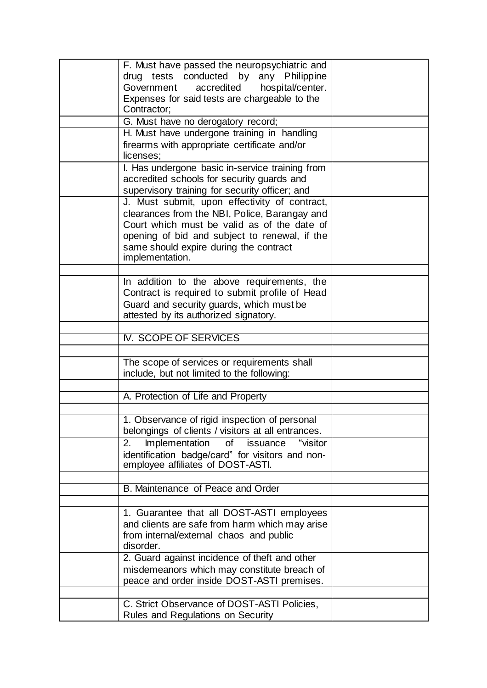| F. Must have passed the neuropsychiatric and<br>drug tests conducted by any Philippine<br>accredited<br>hospital/center.<br>Government<br>Expenses for said tests are chargeable to the<br>Contractor;                                                      |  |
|-------------------------------------------------------------------------------------------------------------------------------------------------------------------------------------------------------------------------------------------------------------|--|
| G. Must have no derogatory record;                                                                                                                                                                                                                          |  |
| H. Must have undergone training in handling<br>firearms with appropriate certificate and/or<br>licenses;                                                                                                                                                    |  |
| I. Has undergone basic in-service training from<br>accredited schools for security guards and<br>supervisory training for security officer; and                                                                                                             |  |
| J. Must submit, upon effectivity of contract,<br>clearances from the NBI, Police, Barangay and<br>Court which must be valid as of the date of<br>opening of bid and subject to renewal, if the<br>same should expire during the contract<br>implementation. |  |
|                                                                                                                                                                                                                                                             |  |
| In addition to the above requirements, the<br>Contract is required to submit profile of Head<br>Guard and security guards, which must be<br>attested by its authorized signatory.                                                                           |  |
|                                                                                                                                                                                                                                                             |  |
| <b>IV. SCOPE OF SERVICES</b>                                                                                                                                                                                                                                |  |
|                                                                                                                                                                                                                                                             |  |
| The scope of services or requirements shall<br>include, but not limited to the following:                                                                                                                                                                   |  |
|                                                                                                                                                                                                                                                             |  |
| A. Protection of Life and Property                                                                                                                                                                                                                          |  |
|                                                                                                                                                                                                                                                             |  |
| 1. Observance of rigid inspection of personal<br>belongings of clients / visitors at all entrances.                                                                                                                                                         |  |
| Implementation<br>of<br>issuance<br>"visitor<br>2.<br>identification badge/card" for visitors and non-<br>employee affiliates of DOST-ASTI.                                                                                                                 |  |
|                                                                                                                                                                                                                                                             |  |
| B. Maintenance of Peace and Order                                                                                                                                                                                                                           |  |
|                                                                                                                                                                                                                                                             |  |
| 1. Guarantee that all DOST-ASTI employees<br>and clients are safe from harm which may arise<br>from internal/external chaos and public<br>disorder.                                                                                                         |  |
| 2. Guard against incidence of theft and other<br>misdemeanors which may constitute breach of<br>peace and order inside DOST-ASTI premises.                                                                                                                  |  |
| C. Strict Observance of DOST-ASTI Policies,                                                                                                                                                                                                                 |  |
| Rules and Regulations on Security                                                                                                                                                                                                                           |  |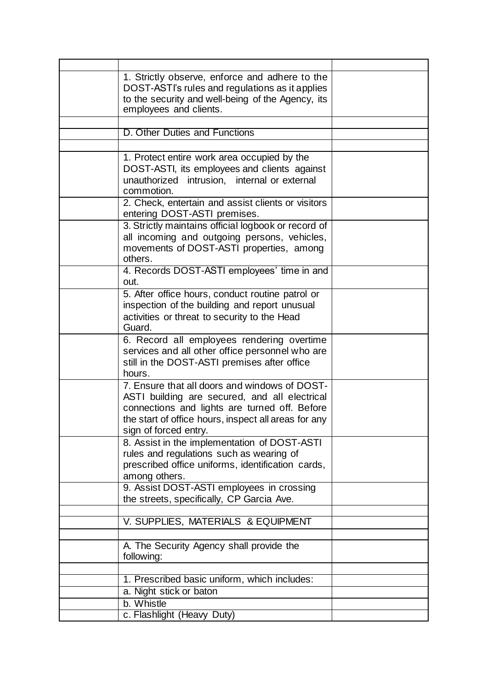| 1. Strictly observe, enforce and adhere to the<br>DOST-ASTI's rules and regulations as it applies<br>to the security and well-being of the Agency, its<br>employees and clients.                                                 |  |
|----------------------------------------------------------------------------------------------------------------------------------------------------------------------------------------------------------------------------------|--|
|                                                                                                                                                                                                                                  |  |
| D. Other Duties and Functions                                                                                                                                                                                                    |  |
|                                                                                                                                                                                                                                  |  |
| 1. Protect entire work area occupied by the<br>DOST-ASTI, its employees and clients against<br>unauthorized<br>intrusion, internal or external<br>commotion.                                                                     |  |
| 2. Check, entertain and assist clients or visitors<br>entering DOST-ASTI premises.                                                                                                                                               |  |
| 3. Strictly maintains official logbook or record of<br>all incoming and outgoing persons, vehicles,<br>movements of DOST-ASTI properties, among<br>others.                                                                       |  |
| 4. Records DOST-ASTI employees' time in and<br>out.                                                                                                                                                                              |  |
| 5. After office hours, conduct routine patrol or<br>inspection of the building and report unusual<br>activities or threat to security to the Head<br>Guard.                                                                      |  |
| 6. Record all employees rendering overtime<br>services and all other office personnel who are<br>still in the DOST-ASTI premises after office<br>hours.                                                                          |  |
| 7. Ensure that all doors and windows of DOST-<br>ASTI building are secured, and all electrical<br>connections and lights are turned off. Before<br>the start of office hours, inspect all areas for any<br>sign of forced entry. |  |
| 8. Assist in the implementation of DOST-ASTI<br>rules and regulations such as wearing of<br>prescribed office uniforms, identification cards,<br>among others.                                                                   |  |
| 9. Assist DOST-ASTI employees in crossing<br>the streets, specifically, CP Garcia Ave.                                                                                                                                           |  |
| V. SUPPLIES, MATERIALS & EQUIPMENT                                                                                                                                                                                               |  |
| A. The Security Agency shall provide the<br>following:                                                                                                                                                                           |  |
|                                                                                                                                                                                                                                  |  |
| 1. Prescribed basic uniform, which includes:                                                                                                                                                                                     |  |
| a. Night stick or baton                                                                                                                                                                                                          |  |
| b. Whistle                                                                                                                                                                                                                       |  |
| c. Flashlight (Heavy Duty)                                                                                                                                                                                                       |  |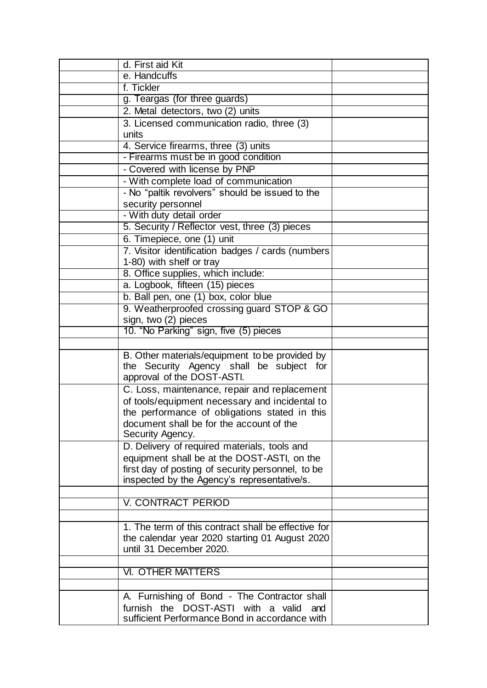| d. First aid Kit                                                                                 |  |
|--------------------------------------------------------------------------------------------------|--|
| e. Handcuffs                                                                                     |  |
| f. Tickler                                                                                       |  |
| g. Teargas (for three guards)                                                                    |  |
| 2. Metal detectors, two (2) units                                                                |  |
| 3. Licensed communication radio, three (3)                                                       |  |
| units                                                                                            |  |
| 4. Service firearms, three (3) units                                                             |  |
| - Firearms must be in good condition                                                             |  |
| - Covered with license by PNP                                                                    |  |
| - With complete load of communication                                                            |  |
| - No "paltik revolvers" should be issued to the                                                  |  |
| security personnel                                                                               |  |
| - With duty detail order                                                                         |  |
| 5. Security / Reflector vest, three (3) pieces                                                   |  |
| 6. Timepiece, one (1) unit                                                                       |  |
| 7. Visitor identification badges / cards (numbers                                                |  |
| 1-80) with shelf or tray                                                                         |  |
| 8. Office supplies, which include:                                                               |  |
| a. Logbook, fifteen (15) pieces                                                                  |  |
| b. Ball pen, one (1) box, color blue                                                             |  |
| 9. Weatherproofed crossing guard STOP & GO                                                       |  |
| sign, two (2) pieces                                                                             |  |
| 10. "No Parking" sign, five (5) pieces                                                           |  |
|                                                                                                  |  |
| B. Other materials/equipment to be provided by                                                   |  |
| the Security Agency shall be subject for                                                         |  |
| approval of the DOST-ASTI.                                                                       |  |
| C. Loss, maintenance, repair and replacement                                                     |  |
| of tools/equipment necessary and incidental to                                                   |  |
| the performance of obligations stated in this                                                    |  |
| document shall be for the account of the<br>Security Agency.                                     |  |
|                                                                                                  |  |
| D. Delivery of required materials, tools and                                                     |  |
| equipment shall be at the DOST-ASTI, on the<br>first day of posting of security personnel, to be |  |
| inspected by the Agency's representative/s.                                                      |  |
|                                                                                                  |  |
| V. CONTRACT PERIOD                                                                               |  |
|                                                                                                  |  |
| 1. The term of this contract shall be effective for                                              |  |
| the calendar year 2020 starting 01 August 2020                                                   |  |
| until 31 December 2020.                                                                          |  |
|                                                                                                  |  |
| <b>VI. OTHER MATTERS</b>                                                                         |  |
|                                                                                                  |  |
| A. Furnishing of Bond - The Contractor shall                                                     |  |
| furnish the DOST-ASTI with a valid<br>and                                                        |  |
| sufficient Performance Bond in accordance with                                                   |  |
|                                                                                                  |  |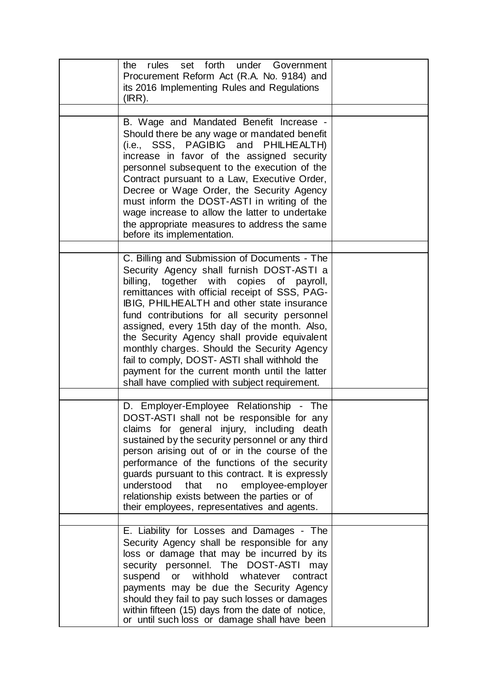| rules set forth under Government<br>the<br>Procurement Reform Act (R.A. No. 9184) and<br>its 2016 Implementing Rules and Regulations<br>(IRR).                                                                                                                                                                                                                                                                                                                                                                                                                                             |  |
|--------------------------------------------------------------------------------------------------------------------------------------------------------------------------------------------------------------------------------------------------------------------------------------------------------------------------------------------------------------------------------------------------------------------------------------------------------------------------------------------------------------------------------------------------------------------------------------------|--|
| B. Wage and Mandated Benefit Increase -<br>Should there be any wage or mandated benefit<br>(i.e., SSS, PAGIBIG and PHILHEALTH)<br>increase in favor of the assigned security<br>personnel subsequent to the execution of the<br>Contract pursuant to a Law, Executive Order,<br>Decree or Wage Order, the Security Agency<br>must inform the DOST-ASTI in writing of the<br>wage increase to allow the latter to undertake<br>the appropriate measures to address the same<br>before its implementation.                                                                                   |  |
| C. Billing and Submission of Documents - The<br>Security Agency shall furnish DOST-ASTI a<br>billing, together with copies of payroll,<br>remittances with official receipt of SSS, PAG-<br>IBIG, PHILHEALTH and other state insurance<br>fund contributions for all security personnel<br>assigned, every 15th day of the month. Also,<br>the Security Agency shall provide equivalent<br>monthly charges. Should the Security Agency<br>fail to comply, DOST- ASTI shall withhold the<br>payment for the current month until the latter<br>shall have complied with subject requirement. |  |
| D. Employer-Employee Relationship - The<br>DOST-ASTI shall not be responsible for any<br>claims for general injury, including death<br>sustained by the security personnel or any third<br>person arising out of or in the course of the<br>performance of the functions of the security<br>guards pursuant to this contract. It is expressly<br>understood<br>that<br>employee-employer<br>no<br>relationship exists between the parties or of<br>their employees, representatives and agents.                                                                                            |  |
| E. Liability for Losses and Damages - The<br>Security Agency shall be responsible for any<br>loss or damage that may be incurred by its<br>security personnel. The DOST-ASTI<br>may<br>withhold<br>whatever<br>contract<br>suspend<br>or<br>payments may be due the Security Agency<br>should they fail to pay such losses or damages<br>within fifteen (15) days from the date of notice,<br>or until such loss or damage shall have been                                                                                                                                                 |  |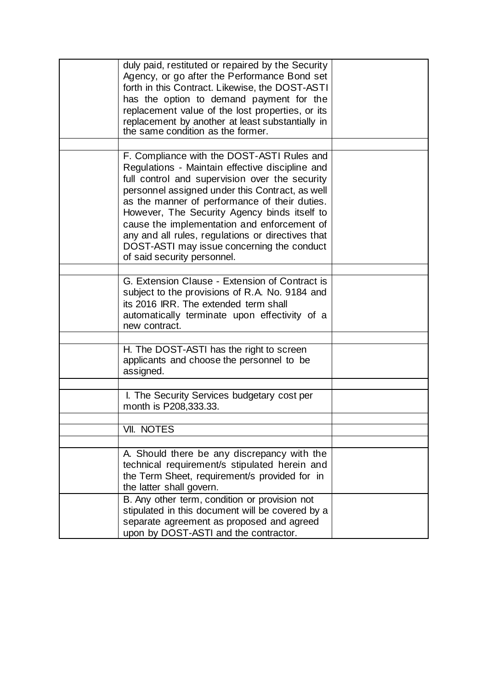| duly paid, restituted or repaired by the Security<br>Agency, or go after the Performance Bond set<br>forth in this Contract. Likewise, the DOST-ASTI<br>has the option to demand payment for the<br>replacement value of the lost properties, or its<br>replacement by another at least substantially in<br>the same condition as the former.                                                                                                                                        |  |
|--------------------------------------------------------------------------------------------------------------------------------------------------------------------------------------------------------------------------------------------------------------------------------------------------------------------------------------------------------------------------------------------------------------------------------------------------------------------------------------|--|
|                                                                                                                                                                                                                                                                                                                                                                                                                                                                                      |  |
| F. Compliance with the DOST-ASTI Rules and<br>Regulations - Maintain effective discipline and<br>full control and supervision over the security<br>personnel assigned under this Contract, as well<br>as the manner of performance of their duties.<br>However, The Security Agency binds itself to<br>cause the implementation and enforcement of<br>any and all rules, regulations or directives that<br>DOST-ASTI may issue concerning the conduct<br>of said security personnel. |  |
|                                                                                                                                                                                                                                                                                                                                                                                                                                                                                      |  |
| G. Extension Clause - Extension of Contract is<br>subject to the provisions of R.A. No. 9184 and<br>its 2016 IRR. The extended term shall<br>automatically terminate upon effectivity of a<br>new contract.                                                                                                                                                                                                                                                                          |  |
|                                                                                                                                                                                                                                                                                                                                                                                                                                                                                      |  |
| H. The DOST-ASTI has the right to screen<br>applicants and choose the personnel to be<br>assigned.                                                                                                                                                                                                                                                                                                                                                                                   |  |
|                                                                                                                                                                                                                                                                                                                                                                                                                                                                                      |  |
| I. The Security Services budgetary cost per<br>month is P208,333.33.                                                                                                                                                                                                                                                                                                                                                                                                                 |  |
|                                                                                                                                                                                                                                                                                                                                                                                                                                                                                      |  |
| VII. NOTES                                                                                                                                                                                                                                                                                                                                                                                                                                                                           |  |
|                                                                                                                                                                                                                                                                                                                                                                                                                                                                                      |  |
| A. Should there be any discrepancy with the<br>technical requirement/s stipulated herein and<br>the Term Sheet, requirement/s provided for in<br>the latter shall govern.                                                                                                                                                                                                                                                                                                            |  |
| B. Any other term, condition or provision not<br>stipulated in this document will be covered by a<br>separate agreement as proposed and agreed<br>upon by DOST-ASTI and the contractor.                                                                                                                                                                                                                                                                                              |  |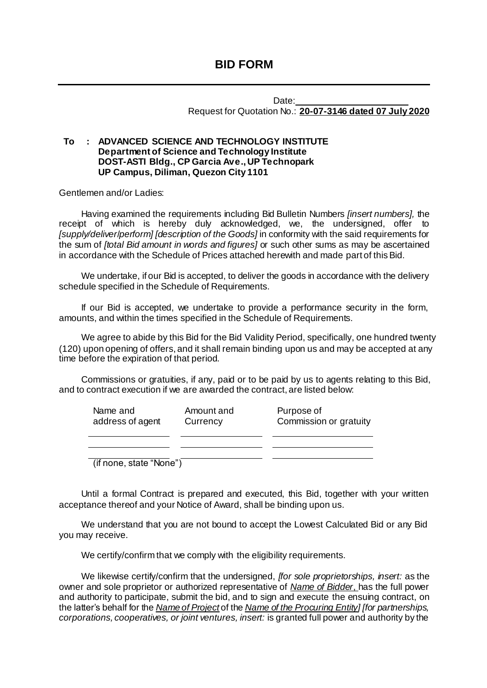Date: Request for Quotation No.: **20-07-3146 dated 07 July 2020**

### **To : ADVANCED SCIENCE AND TECHNOLOGY INSTITUTE Department of Science and Technology Institute DOST-ASTI Bldg., CP Garcia Ave., UP Technopark UP Campus, Diliman, Quezon City 1101**

Gentlemen and/or Ladies:

Having examined the requirements including Bid Bulletin Numbers *[insert numbers],* the receipt of which is hereby duly acknowledged, we, the undersigned, offer to *[supply/deliver*/*perform] [description of the Goods]* in conformity with the said requirements for the sum of *[total Bid amount in words and figures]* or such other sums as may be ascertained in accordance with the Schedule of Prices attached herewith and made part of this Bid.

We undertake, if our Bid is accepted, to deliver the goods in accordance with the delivery schedule specified in the Schedule of Requirements.

If our Bid is accepted, we undertake to provide a performance security in the form, amounts, and within the times specified in the Schedule of Requirements.

We agree to abide by this Bid for the Bid Validity Period, specifically, one hundred twenty (120) upon opening of offers, and it shall remain binding upon us and may be accepted at any time before the expiration of that period.

Commissions or gratuities, if any, paid or to be paid by us to agents relating to this Bid, and to contract execution if we are awarded the contract, are listed below:

| Name and<br>address of agent | Amount and<br>Currency | Purpose of<br>Commission or gratuity |
|------------------------------|------------------------|--------------------------------------|
|                              |                        |                                      |
| (if none, state "None")      |                        |                                      |

Until a formal Contract is prepared and executed, this Bid, together with your written acceptance thereof and your Notice of Award, shall be binding upon us.

We understand that you are not bound to accept the Lowest Calculated Bid or any Bid you may receive.

We certify/confirm that we comply with the eligibility requirements.

We likewise certify/confirm that the undersigned, *[for sole proprietorships, insert:* as the owner and sole proprietor or authorized representative of *Name of Bidder*, has the full power and authority to participate, submit the bid, and to sign and execute the ensuing contract, on the latter's behalf for the *Name of Project* of the *Name of the Procuring Entity] [for partnerships, corporations, cooperatives, or joint ventures, insert:* is granted full power and authority by the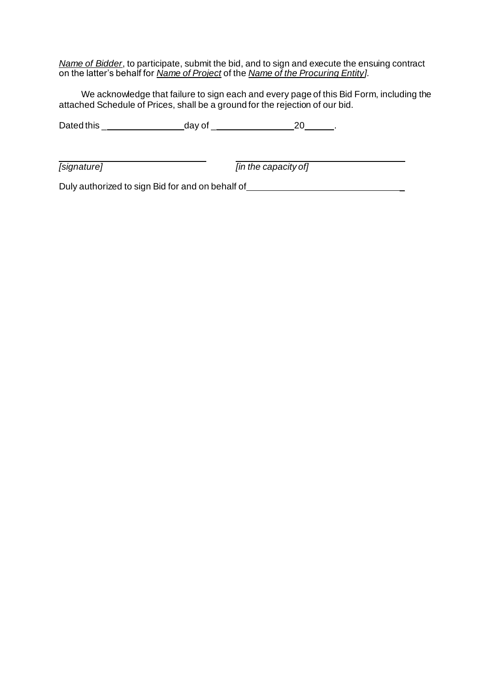*Name of Bidder*, to participate, submit the bid, and to sign and execute the ensuing contract on the latter's behalf for *Name of Project* of the *Name of the Procuring Entity].*

We acknowledge that failure to sign each and every page of this Bid Form, including the attached Schedule of Prices, shall be a ground for the rejection of our bid.

Dated this \_ day of \_ 20 .

*[signature] [in the capacity of]*

Duly authorized to sign Bid for and on behalf of \_\_\_\_\_\_\_\_\_\_\_\_\_\_\_\_\_\_\_\_\_\_\_\_\_\_\_\_\_\_\_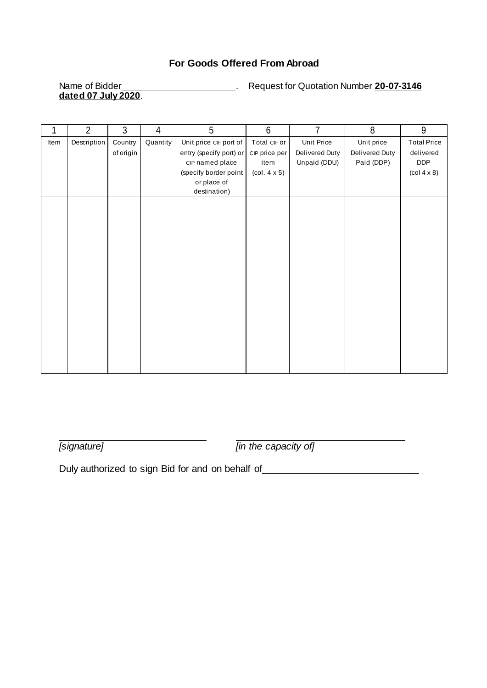### **For Goods Offered From Abroad**

# **dated 07 July 2020**.

Name of Bidder **Number 20-07-3146** . Request for Quotation Number 20-07-3146

|      | $\overline{2}$ | 3         | 4        | 5                       | $\,6$                                  | 7              | 8              | $9\,$                                 |
|------|----------------|-----------|----------|-------------------------|----------------------------------------|----------------|----------------|---------------------------------------|
| Item | Description    | Country   | Quantity | Unit price CIF port of  | Total CIF or                           | Unit Price     | Unit price     | <b>Total Price</b>                    |
|      |                | of origin |          | entry (specify port) or | CIP price per                          | Delivered Duty | Delivered Duty | delivered                             |
|      |                |           |          | CIP named place         | item                                   | Unpaid (DDU)   | Paid (DDP)     | <b>DDP</b>                            |
|      |                |           |          | (specify border point   | $\left(\text{col. } 4 \times 5\right)$ |                |                | $\left(\text{col } 4 \times 8\right)$ |
|      |                |           |          | or place of             |                                        |                |                |                                       |
|      |                |           |          | destination)            |                                        |                |                |                                       |
|      |                |           |          |                         |                                        |                |                |                                       |
|      |                |           |          |                         |                                        |                |                |                                       |
|      |                |           |          |                         |                                        |                |                |                                       |
|      |                |           |          |                         |                                        |                |                |                                       |
|      |                |           |          |                         |                                        |                |                |                                       |
|      |                |           |          |                         |                                        |                |                |                                       |
|      |                |           |          |                         |                                        |                |                |                                       |
|      |                |           |          |                         |                                        |                |                |                                       |
|      |                |           |          |                         |                                        |                |                |                                       |
|      |                |           |          |                         |                                        |                |                |                                       |
|      |                |           |          |                         |                                        |                |                |                                       |
|      |                |           |          |                         |                                        |                |                |                                       |
|      |                |           |          |                         |                                        |                |                |                                       |
|      |                |           |          |                         |                                        |                |                |                                       |
|      |                |           |          |                         |                                        |                |                |                                       |
|      |                |           |          |                         |                                        |                |                |                                       |
|      |                |           |          |                         |                                        |                |                |                                       |

*[signature] [in the capacity of]*

Duly authorized to sign Bid for and on behalf of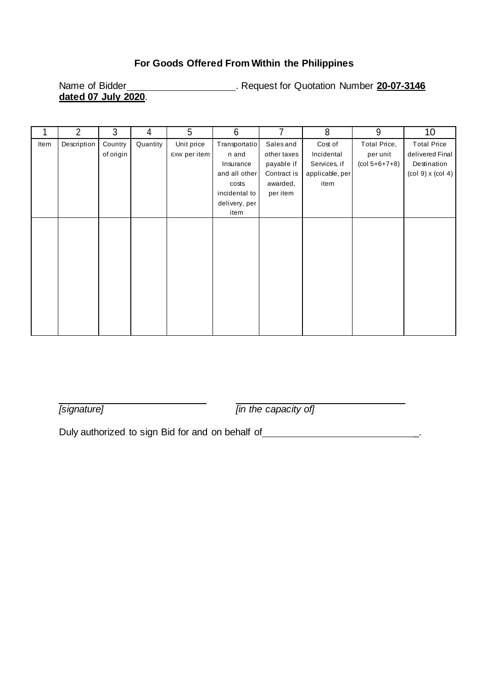### **For Goods Offered From Within the Philippines**

Name of Bidder **Constructed Transform Constructed Transform Cuotation Number 20-07-3146 dated 07 July 2020**.

|      | $\overline{2}$ | 3         | 4        | 5            | 6             | 7           | 8               | 9               | 10                    |
|------|----------------|-----------|----------|--------------|---------------|-------------|-----------------|-----------------|-----------------------|
| Item | Description    | Country   | Quantity | Unit price   | Transportatio | Sales and   | Cost of         | Total Price,    | <b>Total Price</b>    |
|      |                | of origin |          | EXW per item | n and         | other taxes | Incidental      | per unit        | delivered Final       |
|      |                |           |          |              | Insurance     | payable if  | Services, if    | $(col 5+6+7+8)$ | Destination           |
|      |                |           |          |              | and all other | Contract is | applicable, per |                 | $(col 9)$ x $(col 4)$ |
|      |                |           |          |              | costs         | awarded,    | item            |                 |                       |
|      |                |           |          |              | incidental to | per item    |                 |                 |                       |
|      |                |           |          |              | delivery, per |             |                 |                 |                       |
|      |                |           |          |              | item          |             |                 |                 |                       |
|      |                |           |          |              |               |             |                 |                 |                       |
|      |                |           |          |              |               |             |                 |                 |                       |
|      |                |           |          |              |               |             |                 |                 |                       |
|      |                |           |          |              |               |             |                 |                 |                       |
|      |                |           |          |              |               |             |                 |                 |                       |
|      |                |           |          |              |               |             |                 |                 |                       |
|      |                |           |          |              |               |             |                 |                 |                       |
|      |                |           |          |              |               |             |                 |                 |                       |
|      |                |           |          |              |               |             |                 |                 |                       |
|      |                |           |          |              |               |             |                 |                 |                       |
|      |                |           |          |              |               |             |                 |                 |                       |
|      |                |           |          |              |               |             |                 |                 |                       |

*[signature] [in the capacity of]*

Duly authorized to sign Bid for and on behalf of **with all and the system of the system of the system** of  $\overline{a}$